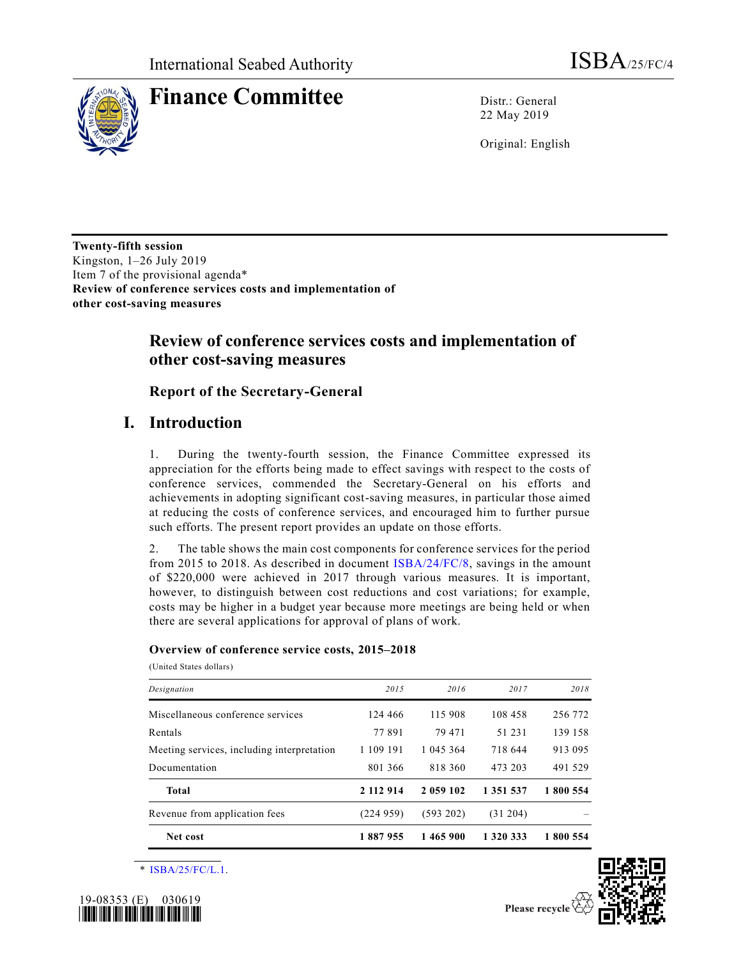

**Finance Committee** Distr.: General

22 May 2019

Original: English

**Twenty-fifth session** Kingston, 1–26 July 2019 Item 7 of the provisional agenda\* **Review of conference services costs and implementation of other cost-saving measures**

## **Review of conference services costs and implementation of other cost-saving measures**

**Report of the Secretary-General**

## **I. Introduction**

1. During the twenty-fourth session, the Finance Committee expressed its appreciation for the efforts being made to effect savings with respect to the costs of conference services, commended the Secretary-General on his efforts and achievements in adopting significant cost-saving measures, in particular those aimed at reducing the costs of conference services, and encouraged him to further pursue such efforts. The present report provides an update on those efforts.

2. The table shows the main cost components for conference services for the period from 2015 to 2018. As described in document [ISBA/24/FC/8,](https://undocs.org/en/ISBA/24/FC/8) savings in the amount of \$220,000 were achieved in 2017 through various measures. It is important, however, to distinguish between cost reductions and cost variations; for example, costs may be higher in a budget year because more meetings are being held or when there are several applications for approval of plans of work.

## **Overview of conference service costs, 2015–2018**

(United States dollars)

| Net cost                                   | 1887955   | 1465900   | 1 320 333 | 1 800 554 |
|--------------------------------------------|-----------|-----------|-----------|-----------|
| Revenue from application fees              | (224959)  | (593 202) | (31 204)  |           |
| <b>Total</b>                               | 2 112 914 | 2 059 102 | 1 351 537 | 1 800 554 |
| Documentation                              | 801 366   | 818 360   | 473 203   | 491 529   |
| Meeting services, including interpretation | 1 109 191 | 1 045 364 | 718 644   | 913 095   |
| Rentals                                    | 77891     | 79 471    | 51 231    | 139 158   |
| Miscellaneous conference services          | 124 466   | 115 908   | 108 458   | 256 772   |
| Designation                                | 2015      | 2016      | 2017      | 2018      |
|                                            |           |           |           |           |

\* [ISBA/25/FC/L.1.](https://undocs.org/en/ISBA/25/FC/L.1)